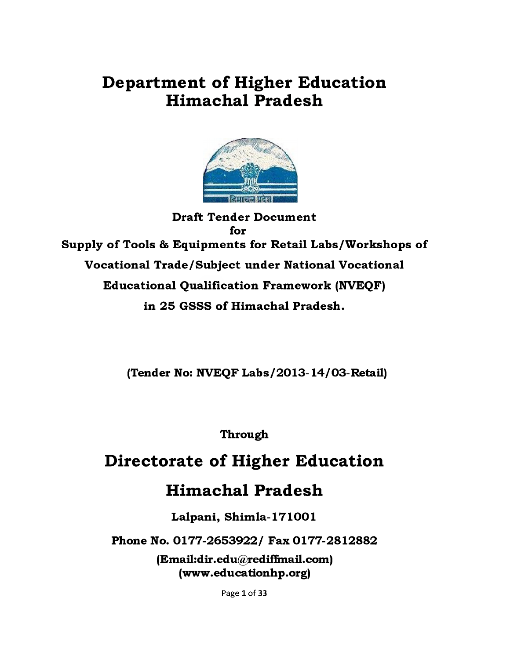# **Department of Higher Education Himachal Pradesh**



**Draft Tender Document for Supply of Tools & Equipments for Retail Labs/Workshops of Vocational Trade/Subject under National Vocational Educational Qualification Framework (NVEQF)** in 25 GSSS of Himachal Pradesh.

**(Tender No: NVEQF Labs/2013-14/03-Retail)**

**Through**

# **Directorate of Higher Education**

# **Himachal Pradesh**

**Lalpani, Shimla-171001**

**Phone No. 0177-2653922/ Fax 0177-2812882**

**(Email:dir.edu@rediffinail.com) (www.educationhp.org)**

Page 1 of 33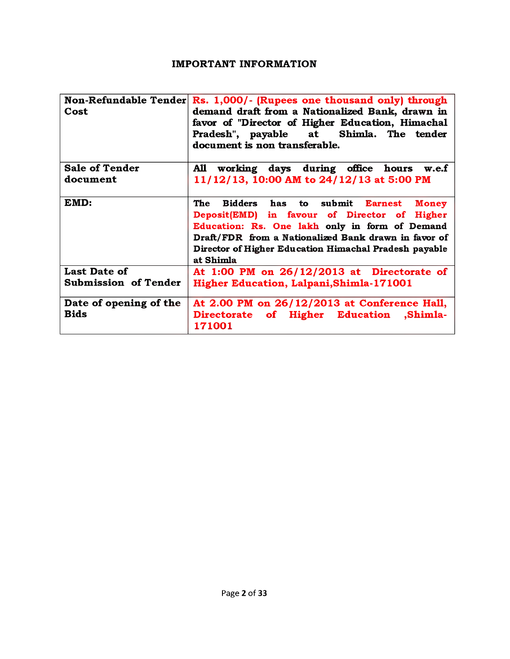#### **IMPORTANT INFORMATION**

| Cost                                  | Non-Refundable Tender $\mathbf{Rs.}$ 1,000/- (Rupees one thousand only) through<br>demand draft from a Nationalized Bank, drawn in<br>favor of "Director of Higher Education, Himachal<br>Pradesh", payable at Shimla. The tender<br>document is non transferable.                   |
|---------------------------------------|--------------------------------------------------------------------------------------------------------------------------------------------------------------------------------------------------------------------------------------------------------------------------------------|
| <b>Sale of Tender</b>                 | working days during office hours w.e.f<br>A11                                                                                                                                                                                                                                        |
| document                              | 11/12/13, 10:00 AM to 24/12/13 at 5:00 PM                                                                                                                                                                                                                                            |
| EMD:                                  | <b>The</b><br>Bidders has to submit Earnest<br>Money<br>Deposit(EMD) in favour of Director of Higher<br>Education: Rs. One lakh only in form of Demand<br>Draft/FDR from a Nationalized Bank drawn in favor of<br>Director of Higher Education Himachal Pradesh payable<br>at Shimla |
| <b>Last Date of</b>                   | At 1:00 PM on $26/12/2013$ at Directorate of                                                                                                                                                                                                                                         |
| <b>Submission of Tender</b>           | Higher Education, Lalpani, Shimla-171001                                                                                                                                                                                                                                             |
| Date of opening of the<br><b>Bids</b> | At 2.00 PM on 26/12/2013 at Conference Hall,<br>Directorate of Higher Education ,Shimla-<br>171001                                                                                                                                                                                   |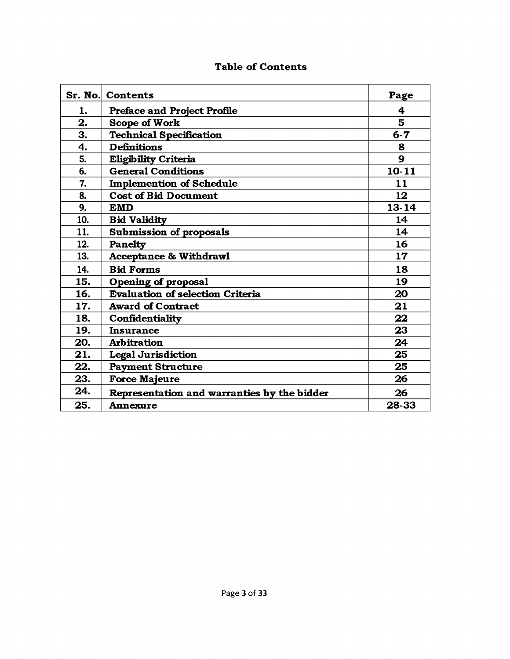|     | <b>Sr. No. Contents</b>                     | Page      |
|-----|---------------------------------------------|-----------|
| 1.  | <b>Preface and Project Profile</b>          | 4         |
| 2.  | <b>Scope of Work</b>                        | 5.        |
| 3.  | <b>Technical Specification</b>              | $6 - 7$   |
| 4.  | <b>Definitions</b>                          | 8         |
| 5.  | <b>Eligibility Criteria</b>                 | 9         |
| 6.  | <b>General Conditions</b>                   | $10 - 11$ |
| 7.  | <b>Implemention of Schedule</b>             | 11        |
| 8.  | <b>Cost of Bid Document</b>                 | 12        |
| 9.  | <b>EMD</b>                                  | $13 - 14$ |
| 10. | <b>Bid Validity</b>                         | 14        |
| 11. | <b>Submission of proposals</b>              | 14        |
| 12. | <b>Panelty</b>                              | 16        |
| 13. | <b>Acceptance &amp; Withdrawl</b>           | 17        |
| 14. | <b>Bid Forms</b>                            | 18        |
| 15. | <b>Opening of proposal</b>                  | 19        |
| 16. | <b>Evaluation of selection Criteria</b>     | 20        |
| 17. | <b>Award of Contract</b>                    | 21        |
| 18. | Confidentiality                             | 22        |
| 19. | <b>Insurance</b>                            | 23        |
| 20. | <b>Arbitration</b>                          | 24        |
| 21. | <b>Legal Jurisdiction</b>                   | 25        |
| 22. | <b>Payment Structure</b>                    | 25        |
| 23. | <b>Force Majeure</b>                        | 26        |
| 24. | Representation and warranties by the bidder | 26        |
| 25. | <b>Annexure</b>                             | 28-33     |

## **Table of Contents**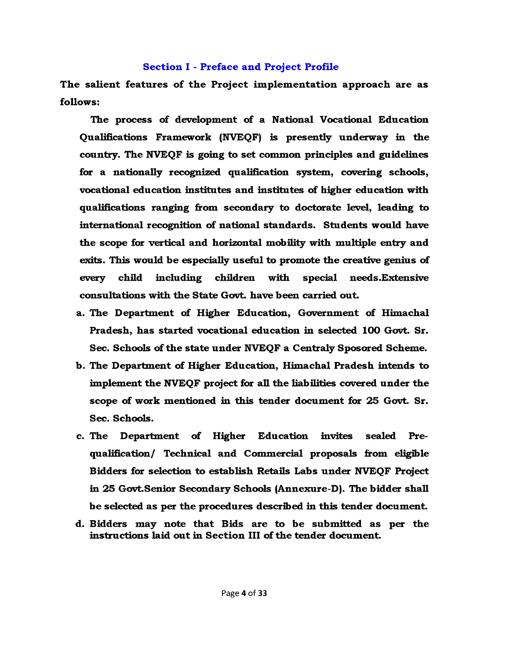#### **Section I - Preface and Project Profile**

The salient features of the Project implementation approach are as **follows:**

**The process of development of a National Vocational Education Qualifications Framework (NVEQF) is presently underway in the country. The NVEQF is going to set common principles and guidelines for a nationally recognized qualification system, covering schools, vocational education institutes and institutes of higher education with qualifications ranging from secondary to doctorate level, leading to international recognition of national standards. Students would have the scope for vertical and horizontal mobility with multiple entry and exits. This would be especially useful to promote the creative genius of every child including children with special needs.Extensive consultations with the State Govt, have been carried out.**

- **a. The Department of Higher Education, Government of Himachal Pradesh, has started vocational education in selected 100 Govt. Sr. Sec. Schools of the state under NVEQF a Centraly Sposored Scheme.**
- **b. The Department of Higher Education, Himachal Pradesh intends to implement the NVEQF project for all the liabilities covered under the scope of work mentioned in this tender document for 25 Govt. Sr. Sec. Schools.**
- **c. The Department of Higher Education invites sealed Prequalification/ Technical and Commercial proposals from eligible Bidders for selection to establish Retails Labs under NVEQF Project in 25 Govt.Senior Secondary Schools (Annexure-D). The bidder shall be selected as per the procedures described in this tender document.**
- **d. Bidders may note that Bids are to be submitted as per the instructions laid out in Section III of the tender document.**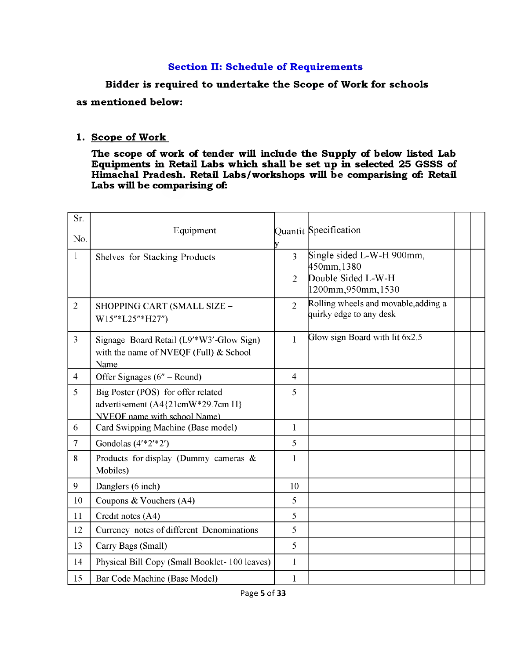#### **Section II: Schedule of Requirements**

Bidder is required to undertake the Scope of Work for schools

**as mentioned below:**

#### 1. Scope of Work

**The scope of work of tender will include the Supply of below listed Lab Equipments in Retail Labs which shall be set up in selected 25 GSSS of Himachal Pradesh. Retail Labs /workshops will be comparising of: Retail Labs will be comparising of:**

| Sr.            |                                               |                     |                                      |  |
|----------------|-----------------------------------------------|---------------------|--------------------------------------|--|
| No.            | Equipment                                     |                     | Quantit Specification                |  |
| $\mathbf{1}$   |                                               | V<br>$\overline{3}$ | Single sided L-W-H 900mm,            |  |
|                | Shelves for Stacking Products                 |                     | 450mm, 1380                          |  |
|                |                                               | $\overline{2}$      | Double Sided L-W-H                   |  |
|                |                                               |                     | 1200mm, 950mm, 1530                  |  |
| $\overline{2}$ | SHOPPING CART (SMALL SIZE -                   | $\overline{2}$      | Rolling wheels and movable, adding a |  |
|                | W15"*L25"*H27")                               |                     | quirky edge to any desk              |  |
| $\overline{3}$ | Signage Board Retail (L9'*W3'-Glow Sign)      | 1                   | Glow sign Board with lit 6x2.5       |  |
|                | with the name of NVEQF (Full) $&$ School      |                     |                                      |  |
|                | Name                                          |                     |                                      |  |
| $\overline{4}$ | Offer Signages (6" - Round)                   | $\overline{4}$      |                                      |  |
| 5              | Big Poster (POS) for offer related            | 5                   |                                      |  |
|                | advertisement (A4{21cmW*29.7cm H}             |                     |                                      |  |
|                | <b>NVEOF</b> name with school Name)           |                     |                                      |  |
| 6              | Card Swipping Machine (Base model)            | $\mathbf{1}$        |                                      |  |
| $\overline{7}$ | Gondolas $(4' * 2' * 2')$                     | 5                   |                                      |  |
| 8              | Products for display (Dummy cameras $\&$      | $\mathbf{1}$        |                                      |  |
|                | Mobiles)                                      |                     |                                      |  |
| 9              | Danglers (6 inch)                             | 10                  |                                      |  |
| 10             | Coupons $& Vouchers (A4)$                     | 5                   |                                      |  |
| 11             | Credit notes (A4)                             | 5                   |                                      |  |
| 12             | Currency notes of different Denominations     | 5                   |                                      |  |
| 13             | Carry Bags (Small)                            | 5                   |                                      |  |
| 14             | Physical Bill Copy (Small Booklet-100 leaves) | $\mathbf{1}$        |                                      |  |
| 15             | Bar Code Machine (Base Model)                 | $\mathbf{1}$        |                                      |  |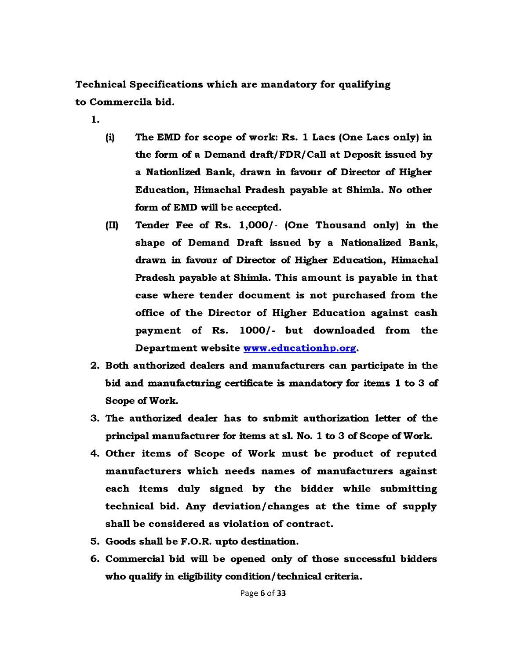**Technical Specifications which are m andatory for qualifying to Commercila bid.**

**1**.

- (i) The EMD for scope of work: Rs. 1 Lacs (One Lacs only) in **the form of a Demand draft/FDR/Call at Deposit issued by a Nationlized Bank, drawn in favour of Director of Higher Education, Himachal Pradesh payable at Shimla. No other form of BMD will be accepted.**
- **(II) Tender Fee of Rs. 1,000/- (One Thousand only) in the shape of Demand Draft issued by a Nationalized Bank, drawn in favour of Director of Higher Education, Himachal Pradesh payable at Shimla. This amount is payable in that case where tender document is not purchased from the** office of the Director of Higher Education against cash payment of Rs. 1000/- but downloaded from the **Departm ent website www .educationhp.org.**
- **2. Both authorized dealers and manufacturers can participate in the bid and manufacturing certificate is mandatory for items 1 to 3 of Scope of Work.**
- **3. The authorized dealer has to subm it authorization letter of the principal manufacturer for items at si. No. 1 to 3 of Scope of Work.**
- 4. Other items of Scope of Work must be product of reputed **m anufacturers which needs names of m anufacturers against** each items duly signed by the bidder while submitting technical bid. Any deviation/changes at the time of supply shall be considered as violation of contract.
- **5. Goods shall be F.O.R. upto destination.**
- **6. Commercial bid will be opened only of those successful bidders who qualify in eligibility condition/technical criteria.**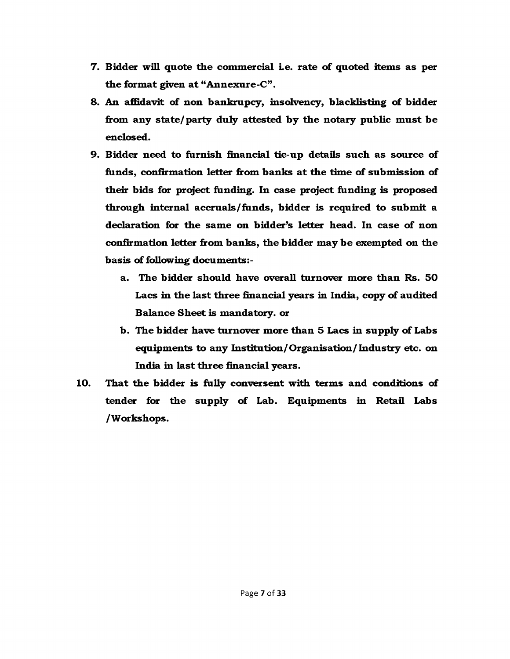- **7. Bidder will quote the commercial i.e. rate of quoted items as per the format given at "Annexure-C" .**
- **8. An affidavit of non bankrupcy, insolvency, blacklisting of bidder from any state/ party duly attested by the notary public must be enclosed.**
- **9. Bidder need to furnish financial tie-up details such as source of** funds, confirmation letter from banks at the time of submission of **their bids for project funding. In case project funding is proposed** through internal accruals/funds, bidder is required to submit a **declaration for the same on bidder's letter head. In case of non confirmation letter from banks, the bidder may be exempted on the basis of following documents:**
	- **a. The bidder should have overall turnover more than Rs. 50 Lacs in the last three financial years in India, copy of audited Balance Sheet is mandatory, or**
	- **b. The bidder have turnover more than 5 Lacs in supply of Labs equipments to any Institution/Organisation/Industry etc. on India in last three financial years.**
- **10. That the bidder is fully conversent with terms and conditions of tender for the supply of Lab. Equipments in Retail Labs /Workshops.**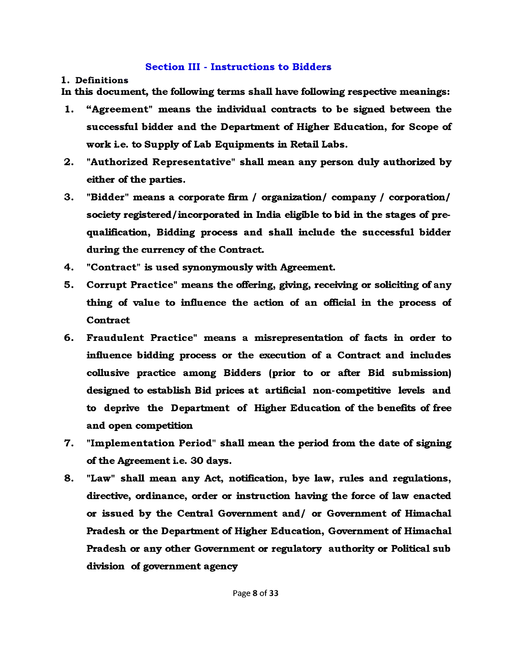#### **Section III - Instructions to Bidders**

#### **1. Definitions**

**In this document, the following terms shall have following respective meanings:**

- **1. "Agreem ent" means the individual contracts to be signed between the successful bidder and the Department of Higher Education, for Scope of work i.e. to Supply of Lab Equipments in Retail Labs.**
- **2. "Authorized Representative" shall mean any person duly authorized by either of the parties.**
- **3. "Bidder" means a corporate firm / organization/ company / corporation/ society registered/incorporated in India eligible to bid in the stages of prequalification, Bidding process and shall include the successful bidder during the currency of the Contract.**
- **4. "Contract" is used synonymously with Agreement.**
- **5. Corrupt Practice" means the offering, giving, receiving or soliciting of any thing of value to influence the action of an official in the process of Contract**
- **6. Fraudulent Practice" means a misrepresentation of facts in order to influence bidding process or the execution of a Contract and includes collusive practice among Bidders (prior to or after Bid submission) designed to establish Bid prices at artificial non-competitive levels and to deprive the Department of Higher Education of the benefits of free and open competition**
- **7. "Implem entation Period" shall mean the period from the date of signing of the Agreement i.e. 30 days.**
- **8. "Law" shall mean any Act, notification, bye law, rules and regulations, directive, ordinance, order or instruction having the force of law enacted or issued by the Central Government and/ or Government of Himachal Pradesh or the Department of Higher Education, Government of Himachal Pradesh or any other Government or regulatory authority or Political sub division of government agency**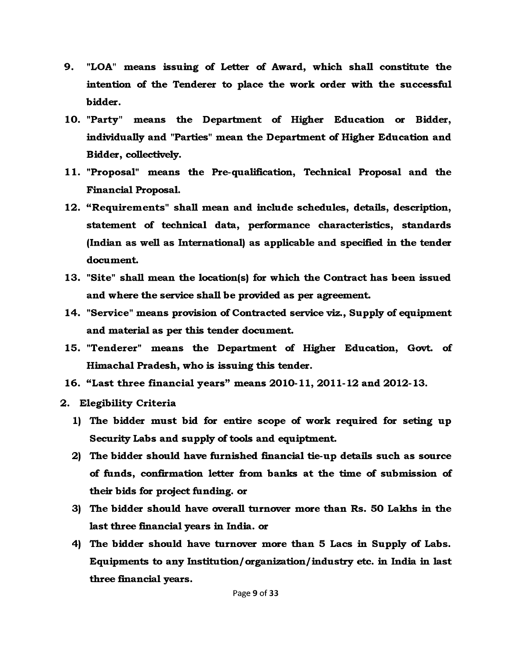- **9. "LOA" means issuing of Letter of Award, which shall constitute the intention of the Tenderer to place the work order with the successful bidder.**
- **10. "Party" means the Department of Higher Education or Bidder, individually and "Parties" mean the Department of Higher Education and Bidder, collectively.**
- **11. "Proposal" means the Pre-qualification, Technical Proposal and the Financial Proposal.**
- **12. "Requirem ents" shall mean and include schedules, details, description, statement of technical data, performance characteristics, standards (Indian as well as International) as applicable and specified in the tender document.**
- **13. "Site" shall mean the location(s) for which the Contract has been issued and where the service shall be provided as per agreement.**
- **14. "Service" means provision of Contracted service viz., Supply of equipment and material as per this tender document.**
- **15. "Tenderer" means the Department of Higher Education, Govt, of Himachal Pradesh, who is issuing this tender.**
- **16. "Last three financial years" means 2010-11, 2011-12 and 2012-13.**
- **2. Elegibility Criteria**
	- **1) The bidder must bid for entire scope of work required for seting up Security Labs and supply of tools and equiptment.**
	- **2) The bidder should have furnished financial tie-up details such as source of funds, confirmation letter from banks at the time of submission of their bids for project funding, or**
	- **3) The bidder should have overall turnover more than Rs. 50 Lakhs in the last three financial years in India, or**
	- **4) The bidder should have turnover more than 5 Lacs in Supply of Labs. Equipments to any Institution/organization/industry etc. in India in last three financial years.**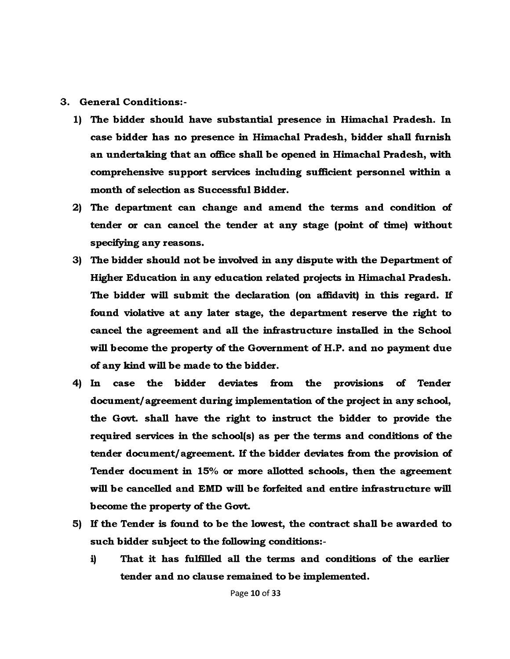#### **3. General Conditions:-**

- **1) The bidder should have substantial presence in Himachal Pradesh. In case bidder has no presence in Himachal Pradesh, bidder shall furnish an undertaking that an office shall be opened in Himachal Pradesh, with comprehensive support services including sufficient personnel within a month of selection as Successful Bidder.**
- **2) The department can change and amend the terms and condition of tender or can cancel the tender at any stage (point of time) without specifying any reasons.**
- **3) The bidder should not be involved in any dispute with the Department of Higher Education in any education related projects in Himachal Pradesh.** The bidder will submit the declaration (on affidavit) in this regard. If **found violative at any later stage, the department reserve the right to cancel the agreement and all the infrastructure installed in the School will become the property of the Government of H.P. and no payment due of any kind will be made to the bidder.**
- **4) In case the bidder deviates from the provisions of Tender document/ agreement during implementation of the project in any school, the Govt, shall have the right to instruct the bidder to provide the required services in the school(s) as per the terms and conditions of the tender document/ agreement. If the bidder deviates from the provision of Tender document in 15% or more allotted schools, then the agreement will be cancelled and EMD will be forfeited and entire infrastructure will become the property of the Govt.**
- **5) If the Tender is found to be the lowest, the contract shall be awarded to such bidder subject to the following conditions:**
	- **i) That it has fulfilled all the terms and conditions of the earlier tender and no clause remained to be implemented.**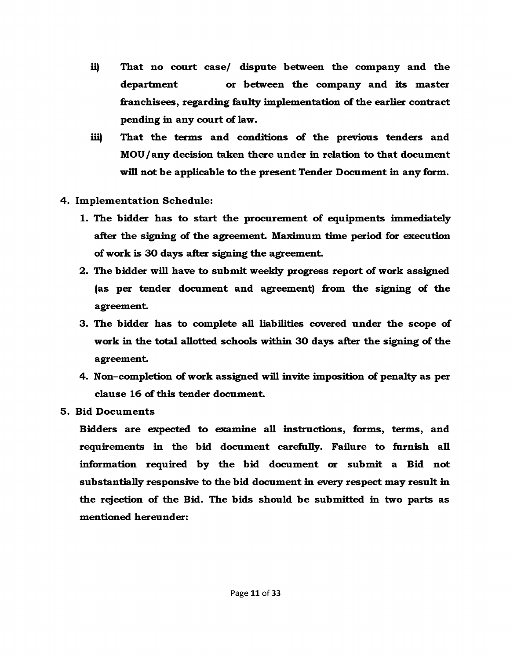- **ii) That no court case/ dispute between the company and the department or between the company and its master franchisees, regarding faulty implementation of the earlier contract pending in any court of law.**
- **iii) That the terms and conditions of the previous tenders and MOU / any decision taken there under in relation to that document will not be applicable to the present Tender Document in any form.**
- **4. Implem entation Schedule:**
	- **1. The bidder has to start the procurement of equipments immediately after the signing of the agreement. Maximum time period for execution of work is 30 days after signing the agreement.**
	- 2. The bidder will have to submit weekly progress report of work assigned **(as per tender document and agreement) from the signing of the agreement.**
	- **3. The bidder has to complete all liabilities covered under the scope of work in the total allotted schools within 30 days after the signing of the agreement.**
	- **4. Non-completion of work assigned will invite imposition of penalty as per clause 16 of this tender document.**
- **5. Bid Documents**

**Bidders are expected to examine all instructions, forms, terms, and requirements in the bid document carefully. Failure to furnish all** information required by the bid document or submit a Bid not **substantially responsive to the bid document in every respect may result in the rejection of the Bid. The bids should be submitted in two parts as mentioned hereunder:**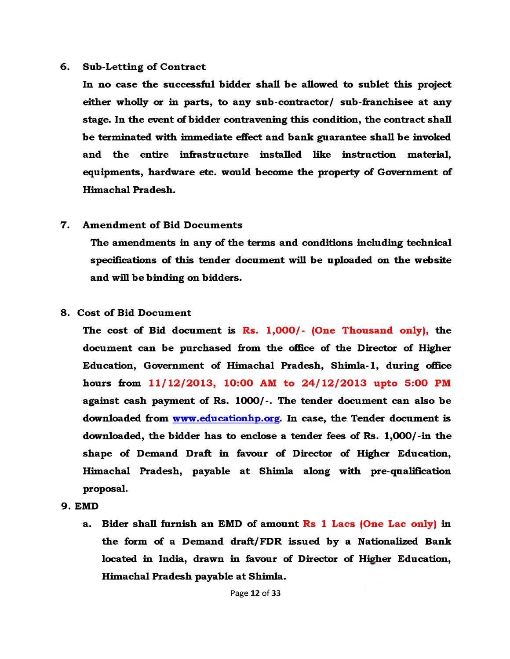#### **6.** Sub-Letting of Contract

**In no case the successful bidder shall be allowed to sublet this project either wholly or in parts, to any sub-contractor/ sub-franchisee at any stage. In the event of bidder contravening this condition, the contract shall be terminated with immediate effect and bank guarantee shall be invoked and the entire infrastructure installed like instruction material, equipments, hardware etc. would become the property of Government of Himachal Pradesh.**

#### **7.** Amendment of Bid Documents

**The amendments in any of the terms and conditions including technical specifications of this tender document will be uploaded on the website and will be binding on bidders.**

#### **8. Cost of Bid Document**

**The cost of Bid document is Rs. 1,000/- (One Thousand only), the document can be purchased from the office of the Director of Higher Education, Government of Himachal Pradesh, Shimla-1, during office hours from 11/12/2013, 10:00 AM to 24/12/2013 upto 5:00 PM against cash payment of Rs. 1000/-. The tender document can also be downloaded from www.educationhp.org. In case, the Tender document is downloaded, the bidder has to enclose a tender fees of Rs. 1,000/-in the shape of Demand Draft in favour of Director of Higher Education, Himachal Pradesh, payable at Shimla along with pre-qualification proposal.**

- **9. EMD**
	- **a. Bider shall furnish an EMD of amount Rs 1 Lacs (One Lac only) in the form of a Demand draft/ FDR issued by a Nationalized Bank located in India, drawn in favour of Director of Higher Education, Himachal Pradesh payable at Shimla.**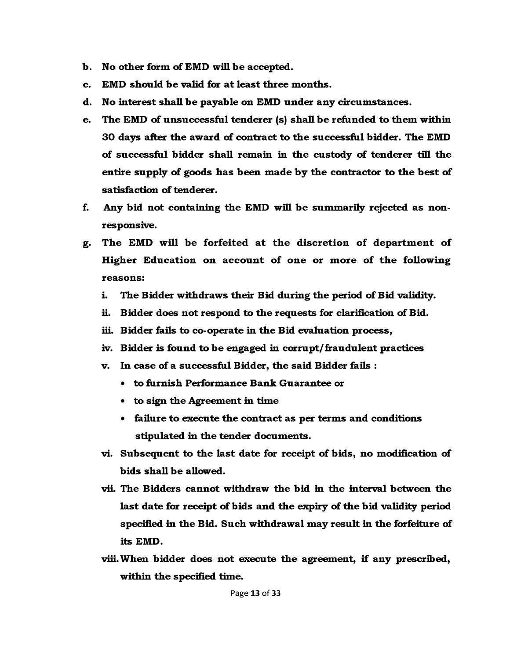- **b. No other form of BMD will be accepted.**
- **c. BMD should be valid for at least three months.**
- **d. No interest shall be payable on BMD under any circumstances.**
- **e. The BMD of unsuccessful tenderer (s) shall be refunded to them within 30 days after the award of contract to the successful bidder. The BMD of successful bidder shall remain in the custody of tenderer till the entire supply of goods has been made by the contractor to the best of satisfaction of tenderer.**
- **f. Any bid not containing the BMD will be summarily rejected as nonresponsive.**
- g. The EMD will be forfeited at the discretion of department of Higher Education on account of one or more of the following **reasons:**
	- **i. The Bidder withdraws their Bid during the period of Bid validity.**
	- **ii. Bidder does not respond to the requests for clarification of Bid.**
	- **iii. Bidder fails to co-operate in the Bid evaluation process,**
	- **iv. Bidder is found to be engaged in corrupt/fraudulent practices**
	- **v. In case of a successful Bidder, the said Bidder fails :**
		- **to furnish Performance Bank Guarantee or**
		- **to sign the Agreement in time**
		- **failure to execute the contract as per terms and conditions stipulated in the tender documents.**
	- **vi. Subsequent to the last date for receipt of bids, no modification of bids shall be allowed.**
	- **vii. The Bidders cannot withdraw the bid in the interval between the last date for receipt of bids and the expiry of the bid validity period specified in the Bid. Such withdrawal may result in the forfeiture of its BMD.**
	- **viii. When bidder does not execute the agreement, if any prescribed, within the specified time.**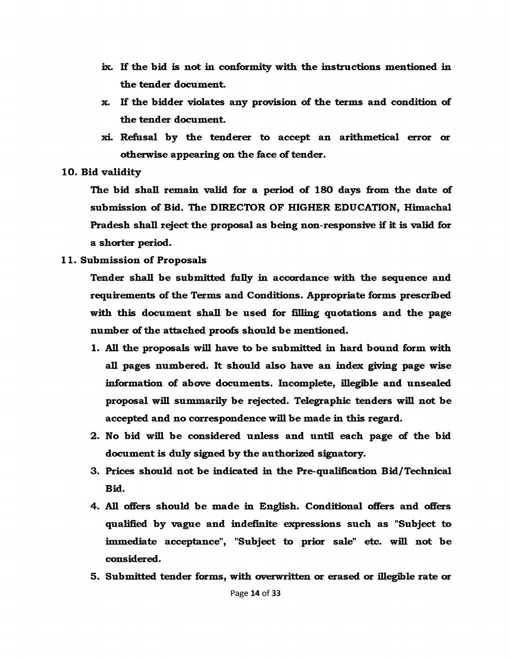- **ix. If the bid is not in conformity with the instructions mentioned in the tender document.**
- **x. If the bidder violates any provision of the terms and condition of the tender document.**
- **xi. Refusal by the tenderer to accept an arithmetical error or otherwise appearing on the face of tender.**

#### **10. Bid validity**

**The bid shall remain valid for a period of 180 days from the date of submission of Bid. The DIRECTOR OF HIGHER EDUCATION, Himachal Pradesh shall reject the proposal as being non-responsive if it is valid for a shorter period.**

#### **11. Submission of Proposals**

**Tender shall be submitted fully in accordance with the sequence and requirements of the Terms and Conditions. Appropriate forms prescribed with this document shall be used for filling quotations and the page number of the attached proofs should be mentioned.**

- **1. All the proposals will have to be submitted in hard bound form with all pages numbered. It should also have an index giving page wise information of above documents. Incomplete, illegible and unsealed proposal will summarily be rejected. Telegraphic tenders will not be accepted and no correspondence will be made in this regard.**
- **2. No bid will be considered unless and until each page of the bid document is duly signed by the authorized signatory.**
- **3. Prices should not be indicated in the Pre-qualification Bid/Technical Bid.**
- **4. All offers should be made in English. Conditional offers and offers qualified by vague and indefinite egression s such as "Subject to immediate acceptance", "Subject to prior sale" etc. will not be considered.**
- **5. Submitted tender forms, with overwritten or erased or illegible rate or**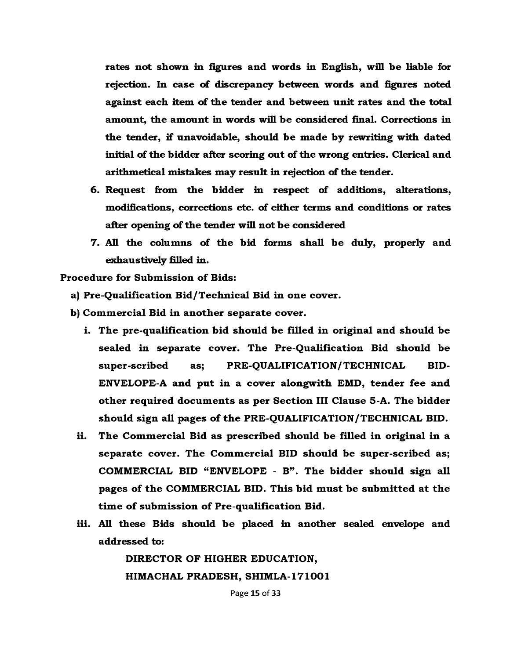**rates not shown in figures and words in English, will be liable for rejection. In case of discrepancy between words and figures noted against each item of the tender and between unit rates and the total amount, the amount in words will be considered final. Corrections in the tender, if unavoidable, should be made by rewriting with dated initial of the bidder after scoring out of the wrong entries. Clerical and arithmetical mistakes may result in rejection of the tender.**

- **6. Request from the bidder in respect of additions, alterations, modifications, corrections etc. of either terms and conditions or rates after opening of the tender will not be considered**
- **7. All the columns of the bid forms shall be duly, properly and exhaustively filled in.**

**Procedure for Submission of Bids:** 

**a) Pre-Qualification Bid/Technical Bid in one cover.**

**b) Comm ercial Bid in another separate cover.**

- **i. The pre-qualification bid should be filled in original and should be sealed in separate cover. The Pre-Qualification Bid should be super-scribed as; PRE-QUALIFICATION/TECHNICAL BID-ENVELOPE-A and put in a cover alongwith EMD, tender fee and other required docum ents as per Section III Clause 5 -A. The bidder** should sign all pages of the PRE-QUALIFICATION/TECHNICAL BID.
- **ii. The Comm ercial Bid as prescribed should be filled in original in a** separate cover. The Commercial BID should be super-scribed as; **COMMERCIAL BID "ENVELOPE - B" . The bidder should sign all pages o f the COMMERCIAL BID. This bid must be subm itted at the** time of submission of Pre-qualification Bid.
- **iii. All these Bids should be placed in another sealed envelope and addressed to:**

**DIRECTOR OF HIGHER EDUCATION, HIMACHAL PRADESH, SHIMLA-171001**

Page 15 of 33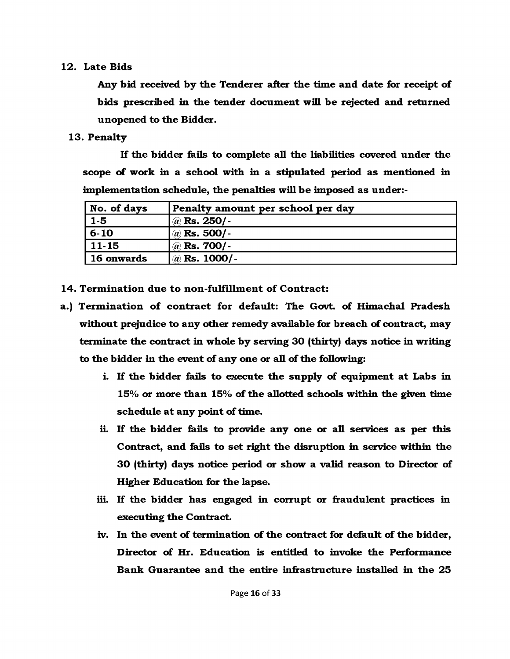#### **12. Late Bids**

**Any bid received by the Tenderer after the time and date for receipt of bids prescribed in the tender document will be rejected and returned unopened to the Bidder.**

#### **13. Penalty**

**If the bidder fails to complete all the liabilities covered under the scope of work in a school with in a stipulated period as mentioned in implementation schedule, the penalties will be imposed as under:-**

| No. of days       | Penalty amount per school per day |  |  |
|-------------------|-----------------------------------|--|--|
| $1-5$             | $^{\prime}\,$ @ Rs. 250/-         |  |  |
| $6 - 10$          | $\langle a \rangle$ Rs. 500/-     |  |  |
| 11-15             | $\langle a \rangle$ Rs. 700/-     |  |  |
| <b>16 onwards</b> | $\langle a \rangle$ Rs. 1000/-    |  |  |

14. Termination due to non-fulfillment of Contract:

- a.) Termination of contract for default: The Govt. of Himachal Pradesh **without prejudice to any other remedy available for breach of contract, may terminate the contract in whole by serving 30 (thirty) days notice in writing to the bidder in the event of any one or all of the following:**
	- **i. If the bidder fails to execute the supply of equipment at Labs in 15% or more than 15% of the allotted schools within the given time schedule at any point of time.**
	- **ii. If the bidder fails to provide any one or all services as per this Contract, and fails to set right the disruption in service within the 30 (thirty) days notice period or show a valid reason to Director of Higher Education for the lapse.**
	- **iii. If the bidder has engaged in corrupt or fraudulent practices in executing the Contract.**
	- **iv. In the event of termination of the contract for default of the bidder, D irector of Hr. Education is entitled to invoke the Performance Bank Guarantee and the entire infrastructure installed in the 25**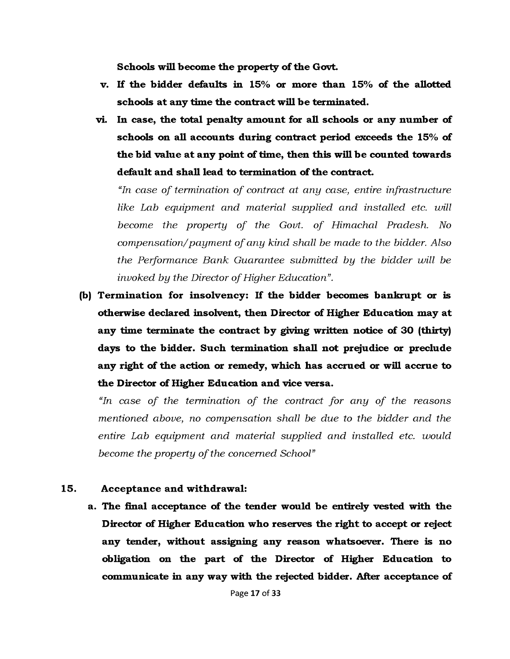**Schools will become the property of the Govt,**

- **v. If the bidder defaults in 15% or more than 15% of the allotted schools at any time the contract will be terminated,**
- **vi. In case, the total penalty amount for all schools or any number of schools on all accounts during contract period exceeds the 15% of the bid value at any point of time, then this will be counted towards default and shall lead to termination of the contract.**

*"In case of termination of contract at any case, entire infrastructure like Lab equipment and material supplied and installed etc. will become the property of the Govt, of Himachal Pradesh. No compensation/payment of any kind shall be made to the bidder. Also the Performance Bank Guarantee submitted by the bidder will be invoked by the Director of Higher Education".*

**(b) Term ination for insolvency: If the bidder becomes bankrupt or is otherwise declared insolvent, then Director of Higher Education may at any time terminate the contract by giving written notice of 30 (thirty) days to the bidder. Such termination shall not prejudice or preclude any right of the action or remedy, which has accrued or will accrue to the Director of Higher Education and vice versa.**

*"In case of the termination of the contract for any of the reasons mentioned above, no compensation shall be due to the bidder and the entire Lab equipment and material supplied and installed etc. would become the property of the concerned School"*

#### **15. Acceptance and withdrawal:**

**a. The final acceptance of the tender would be entirely vested with the Director of Higher Education who reserves the right to accept or reject any tender, without assigning any reason whatsoever. There is no obligation on the part of the Director of Higher Education to communicate in any way with the rejected bidder. After acceptance of**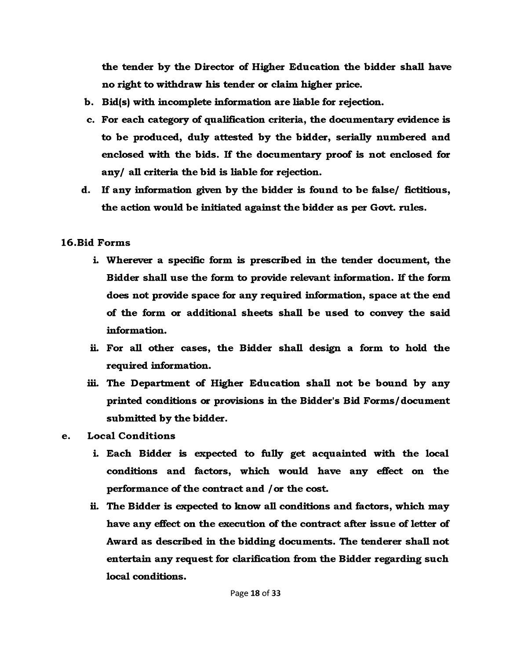**the tender by the Director of Higher Education the bidder shall have no right to withdraw his tender or claim higher price.**

- **b. Bid(s) with incomplete information are liable for rejection.**
- **c. For each category of qualification criteria, the documentary evidence is to be produced, duly attested by the bidder, serially numbered and enclosed with the bids. If the documentary proof is not enclosed for any/ all criteria the bid is liable for rejection.**
- **d. If any information given by the bidder is found to be false/ fictitious, the action would be initiated against the bidder as per Govt, rules.**

# **16.Bid Forms**

- **i. Wherever a specific form is prescribed in the tender document, the Bidder shall use the form to provide relevant information. If the form does not provide space for any required information, space at the end of the form or additional sheets shall be used to convey the said information.**
- **ii. For all other cases, the Bidder shall design a form to hold the required information.**
- **iii. The Department of Higher Education shall not be bound by any printed conditions or provisions in the Bidder's Bid Forms/document submitted by the bidder.**
- **e. Local Conditions**
	- **i. Each Bidder is expected to fully get acquainted with the local conditions and factors, which would have any effect on the performance of the contract and / or the cost.**
	- **ii. The Bidder is expected to know all conditions and factors, which may have any effect on the execution of the contract after issue of letter of Award as described in the bidding documents. The tenderer shall not entertain any request for clarification from the Bidder regarding such local conditions.**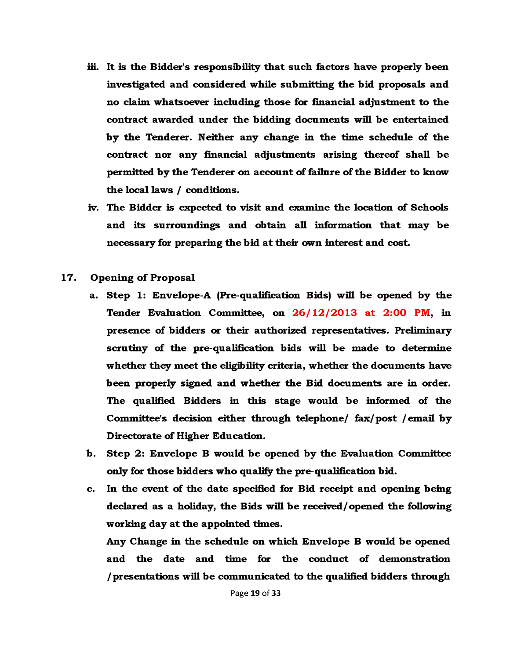- **iii. It is the Bidder's responsibility that such factors have properly been investigated and considered while submitting the bid proposals and no claim whatsoever including those for financial adjustment to the contract awarded under the bidding documents will be entertained by the Tenderer. Neither any change in the time schedule of the contract nor any financial adjustments arising thereof shall be permitted by the Tenderer on account of failure of the Bidder to know the local laws / conditions.**
- **iv. The Bidder is expected to visit and examine the location of Schools and its surroundings and obtain all information that may be necessary for preparing the bid at their own interest and cost.**
- **17.** Opening of Proposal
	- **a. Step 1: Bnvelope-A (Pre-qualification Bids) will be opened by the Tender Evaluation Committee, on 26/12/2013 at 2:00 PM, in presence of bidders or their authorized representatives. Preliminary scrutiny of the pre-qualification bids will be made to determine whether they meet the eligibility criteria, whether the documents have been properly signed and whether the Bid documents are in order. The qualified Bidders in this stage would be informed of the Committee's decision either through telephone/ fax/post /email by Directorate of Higher Education.**
	- **b. Step 2: Envelope B would be opened by the Evaluation Committee only for those bidders who qualify the pre-qualification bid.**
	- **c. In the event of the date specified for Bid receipt and opening being declared as a holiday, the Bids will be received/opened the following working day at the appointed times.**

**Any Change in the schedule on which Envelope B would be opened and the date and time for the conduct of demonstration / presentations will be communicated to the qualified bidders through**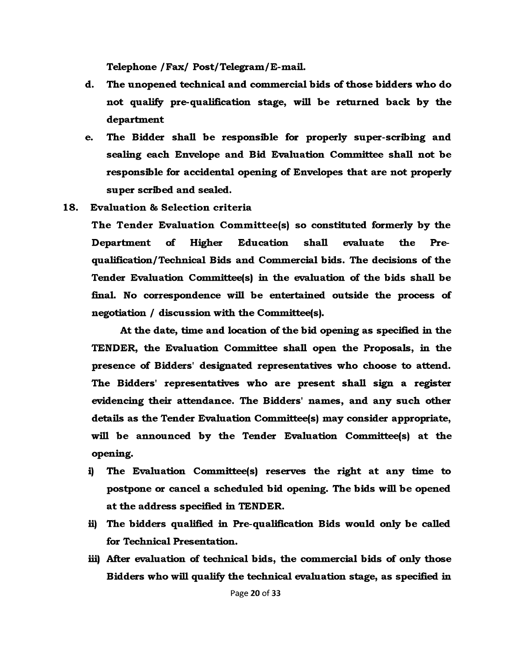**Telephone /Fax/ Post/Telegram/B-mail.**

- **d. The unopened technical and commercial bids of those bidders who do not qualify pre-qualification stage, will be returned back by the department**
- **e. The Bidder shall be responsible for properly super-scribing and sealing each Envelope and Bid Evaluation Committee shall not be responsible for accidental opening of Envelopes that are not properly super scribed and sealed.**
- **18. Evaluation & Selection criteria**

**The Tender Evaluation Comm ittee(s) so constituted formerly by the Department of Higher Education shall evaluate the Prequalification/Technical Bids and Commercial bids. The decisions of the Tender Evaluation Committee(s) in the evaluation of the bids shall be final. No correspondence will be entertained outside the process of negotiation / discussion with the Committee(s).**

**At the date, time and location of the bid opening as specified in the TENDER, the Evaluation Committee shall open the Proposals, in the presence of Bidders' designated representatives who choose to attend. The Bidders' representatives who are present shall sign a register evidencing their attendance. The Bidders' names, and any such other details as the Tender Evaluation Committee(s) may consider appropriate, will be announced by the Tender Evaluation Committee(s) at the opening.**

- **i) The Evaluation Committee(s) reserves the right at any time to postpone or cancel a scheduled bid opening. The bids will be opened at the address specified in TENDER.**
- **ii) The bidders qualified in Pre-qualification Bids would only be called for Technical Presentation.**
- **iii) After evaluation of technical bids, the commercial bids of only those Bidders who will qualify the technical evaluation stage, as specified in**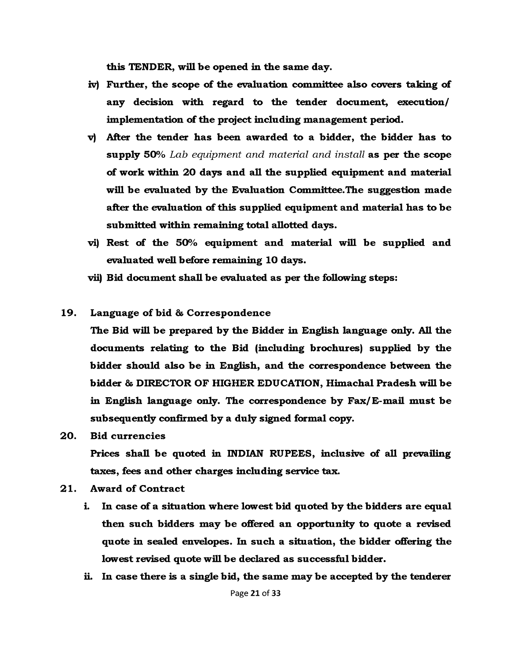**this TENDER, will be opened in the same day.**

- **iv) Further, the scope of the evaluation committee also covers taking of any decision with regard to the tender document, execution/ implementation of the project including management period.**
- **v) After the tender has been awarded to a bidder, the bidder has to supply 50%** *Lab equipment and material and install* **as per the scope of work within 20 days and all the supplied equipment and material will be evaluated by the Evaluation Committee.The suggestion made after the evaluation of this supplied equipment and material has to be submitted within remaining total allotted days.**
- **vi) Rest of the 50% equipment and material will be supplied and evaluated well before remaining 10 days.**
- **vii) Bid document shall be evaluated as per the following steps:**
- 19. Language of bid & Correspondence

**The Bid will be prepared by the Bidder in English language only. All the documents relating to the Bid (including brochures) supplied by the bidder should also be in English, and the correspondence between the bidder & DIRECTOR OF HIGHER EDUCATION, Himachal Pradesh will be in English language only. The correspondence by Fax/ E-mail must be subsequently confirmed by a duly signed formal copy.**

**20. Bid currencies**

**Prices shall be quoted in INDIAN RUPEES, inclusive of all prevailing taxes, fees and other charges including service tax.**

- **21.** Award of Contract
	- **i. In case of a situation where lowest bid quoted by the bidders are equal then such bidders may be offered an opportunity to quote a revised quote in sealed envelopes. In such a situation, the bidder offering the lowest revised quote will be declared as successful bidder.**
	- **ii. In case there is a single bid, the same may be accepted by the tenderer**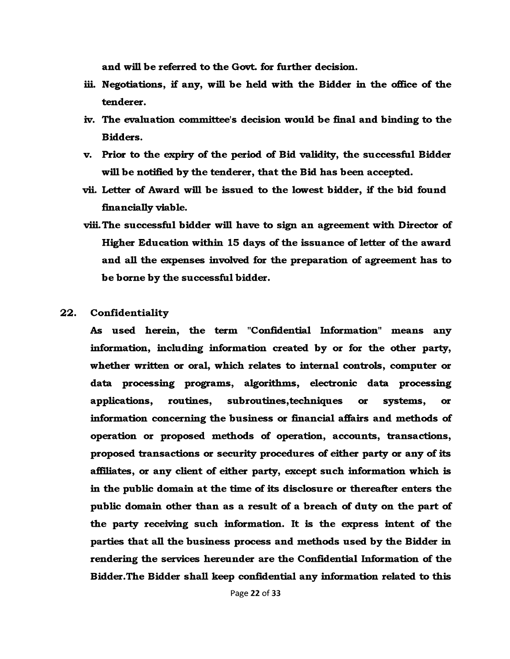**and will be referred to the Govt, for further decision.**

- **iii. Negotiations, if any, will be held with the Bidder in the office of the tenderer.**
- **iv. The evaluation committee's decision would be final and binding to the Bidders.**
- **v. Prior to the expiry of the period of Bid validity, the successful Bidder will be notified by the tenderer, that the Bid has been accepted.**
- **vii. Letter of Award will be issued to the lowest bidder, if the bid found financially viable.**
- **viii. The successful bidder will have to sign an agreement with Director of Higher Education within 15 days of the issuance of letter of the award and all the expenses involved for the preparation of agreement has to be borne by the successful bidder.**
- **22. Confidentiality**

**As used herein, the term "Confidential Information" means any information, including information created by or for the other party, whether written or oral, which relates to internal controls, computer or data processing programs, algorithms, electronic data processing applications, routines, subroutines,techniques or systems, or information concerning the business or financial affairs and methods of operation or proposed methods of operation, accounts, transactions, proposed transactions or security procedures of either party or any of its affiliates, or any client of either party, except such information which is in the public domain at the time of its disclosure or thereafter enters the public domain other than as a result of a breach of duty on the part of the party receiving such information. It is the express intent of the parties that all the business process and methods used by the Bidder in rendering the services hereunder are the Confidential Information of the Bidder.The Bidder shall keep confidential any information related to this**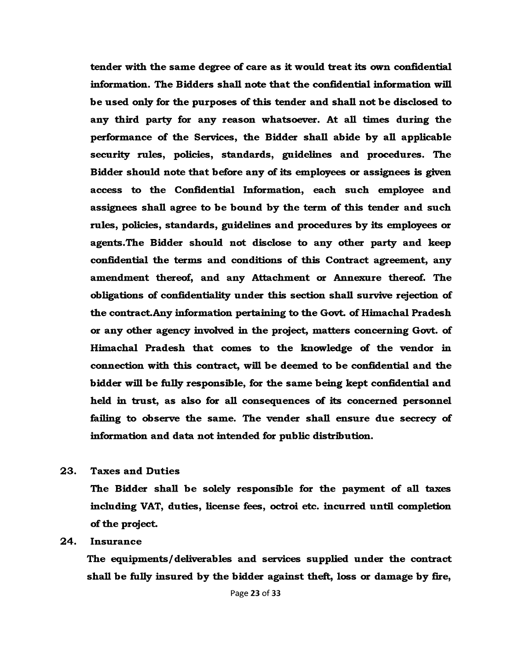**tender with the same degree of care as it would treat its own confidential information. The Bidders shall note that the confidential information will be used only for the purposes of this tender and shall not be disclosed to any third party for any reason whatsoever. At all times during the performance of the Services, the Bidder shall abide by all applicable security rules, policies, standards, guidelines and procedures. The Bidder should note that before any of its employees or assignees is given access to the Confidential Information, each such employee and assignees shall agree to be bound by the term of this tender and such rules, policies, standards, guidelines and procedures by its employees or agents.The Bidder should not disclose to any other party and keep confidential the terms and conditions of this Contract agreement, any amendment thereof, and any Attachment or Annexure thereof. The obligations of confidentiality under this section shall survive rejection of the contract. Any information pertaining to the Govt, of Himachal Pradesh or any other agency involved in the project, matters concerning Govt, of Himachal Pradesh that comes to the knowledge of the vendor in connection with this contract, will be deemed to be confidential and the bidder will be fully responsible, for the same being kept confidential and held in trust, as also for all consequences of its concerned personnel failing to observe the same. The vender shall ensure due secrecy of information and data not intended for public distribution.**

**23. Taxes and Duties**

**The Bidder shall be solely responsible for the payment of all taxes including VAT, duties, license fees, octroi etc. incurred until completion of the project.**

#### **24. Insurance**

**The equipments/deliverables and services supplied under the contract shall be fully insured by the bidder against theft, loss or damage by fire,**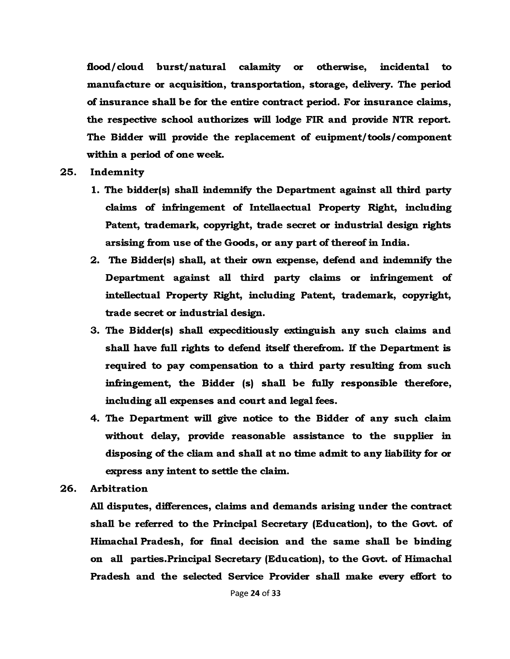**flood/cloud burst/natural calamity or otherwise, incidental to manufacture or acquisition, transportation, storage, delivery. The period of insurance shall be for the entire contract period. For insurance claims, the respective school authorizes will lodge FIR and provide NTR report. The Bidder will provide the replacement of euipment/tools/component within a period of one week.**

- **25. Indemnity**
	- **1. The bidder(s) shall indemnify the Department against all third party claims of infringement of Intellaectual Property Right, including Patent, trademark, copyright, trade secret or industrial design rights arsising from use of the Goods, or any part of thereof in India.**
	- **2. The Bidder(s) shall, at their own expense, defend and indemnify the Department against all third party claims or infringement of intellectual Property Right, including Patent, trademark, copyright, trade secret or industrial design.**
	- **3. The Bidder(s) shall expecditiously extinguish any such claims and shall have full rights to defend itself therefrom. If the Department is required to pay compensation to a third party resulting from such infringement, the Bidder (s) shall be fully responsible therefore, including all expenses and court and legal fees.**
	- **4. The Department will give notice to the Bidder of any such claim without delay, provide reasonable assistance to the supplier in disposing of the cliam and shall at no time admit to any liability for or express any intent to settle the claim.**
- **26. Arbitration**

**All disputes, differences, claims and demands arising under the contract shall be referred to the Principal Secretary (Education), to the Govt, of Himachal Pradesh, for final decision and the same shall be binding on all parties.Principal Secretary (Education), to the Govt, of Himachal Pradesh and the selected Service Provider shall make every effort to**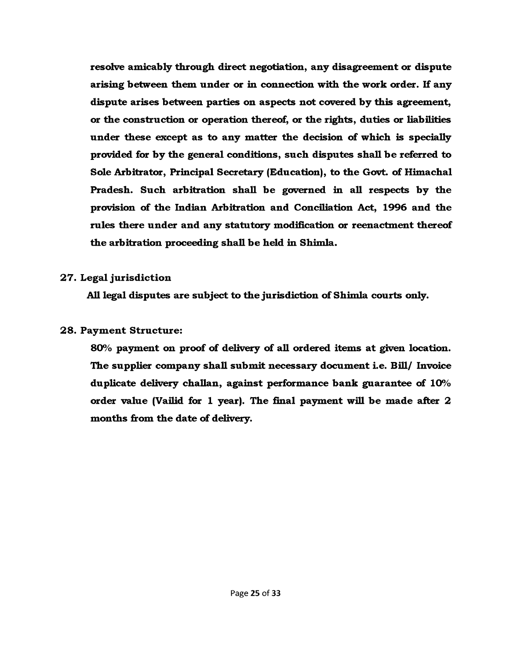**resolve amicably through direct negotiation, any disagreement or dispute arising between them under or in connection with the work order. If any dispute arises between parties on aspects not covered by this agreement, or the construction or operation thereof, or the rights, duties or liabilities under these except as to any matter the decision of which is specially provided for by the general conditions, such disputes shall be referred to Sole Arbitrator, Principal Secretary (Education), to the Govt, of Himachal Pradesh. Such arbitration shall be governed in all respects by the provision of the Indian Arbitration and Conciliation Act, 1996 and the rules there under and any statutory modification or reenactment thereof the arbitration proceeding shall be held in Shimla.**

#### **27. Legal jurisdiction**

**All legal disputes are subject to the jurisdiction of Shimla courts only.**

#### **28. Payment Structure:**

**80% payment on proof of delivery of all ordered items at given location. The supplier company shall subm it necessary document i.e. Bill/ Invoice duplicate delivery challan, against performance bank guarantee of 10% order value (Vailid for 1 year). The final payment will be made after 2 months from the date of delivery.**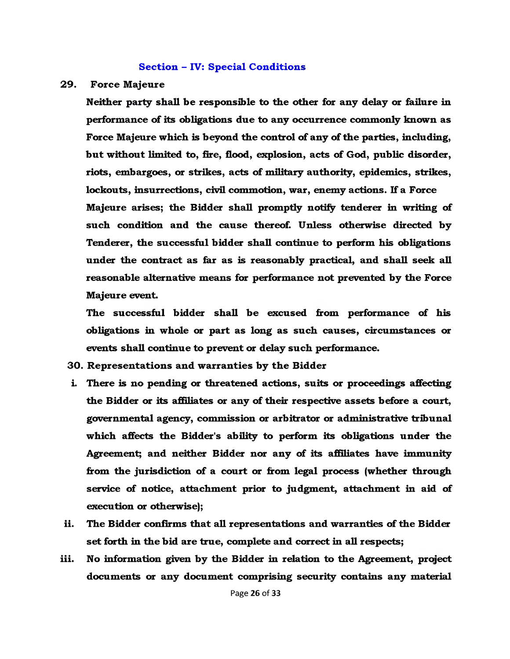#### **Section - IV: Special Conditions**

#### **29. Force Majeure**

**Neither party shall be responsible to the other for any delay or failure in performance of its obligations due to any occurrence commonly known as Force Majeure which is beyond the control of any of the parties, including, but without limited to, fire, flood, explosion, acts of God, public disorder, riots, embargoes, or strikes, acts of military authority, epidemics, strikes, lockouts, insurrections, civil commotion, war, enemy actions. If a Force Majeure arises; the Bidder shall promptly notify tenderer in writing of such condition and the cause thereof. Unless otherwise directed by Tenderer, the successful bidder shall continue to perform his obligations under the contract as far as is reasonably practical, and shall seek all reasonable alternative means for performance not prevented by the Force Majeure event.**

**The successful bidder shall be excused from performance of his obligations in whole or part as long as such causes, circumstances or events shall continue to prevent or delay such performance.**

**30. Representations and warranties by the Bidder**

- **i. There is no pending or threatened actions, suits or proceedings affecting the Bidder or its affiliates or any of their respective assets before a court, governmental agency, commission or arbitrator or administrative tribunal which affects the Bidder's ability to perform its obligations under the Agreement; and neither Bidder nor any of its affiliates have immunity from the jurisdiction of a court or from legal process (whether through service of notice, attachment prior to judgment, attachment in aid of execution or otherwise);**
- **ii. The Bidder confirms that all representations and warranties of the Bidder set forth in the bid are true, complete and correct in all respects;**
- **iii. No information given by the Bidder in relation to the Agreement, project documents or any document comprising security contains any material**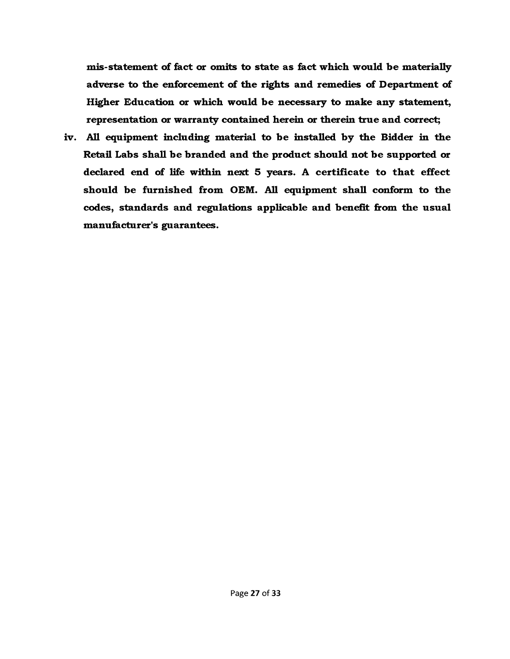**mis-statement of fact or omits to state as fact which would be materially adverse to the enforcement of the rights and remedies of Department of Higher Education or which would be necessary to make any statement, representation or warranty contained herein or therein true and correct;**

**iv. All equipment including material to be installed by the Bidder in the Retail Labs shall be branded and the product should not be supported or declared end of life within next 5 years. A certificate to that effect should be furnished from OEM. All equipment shall conform to the codes, standards and regulations applicable and benefit from the usual manufacturer's guarantees.**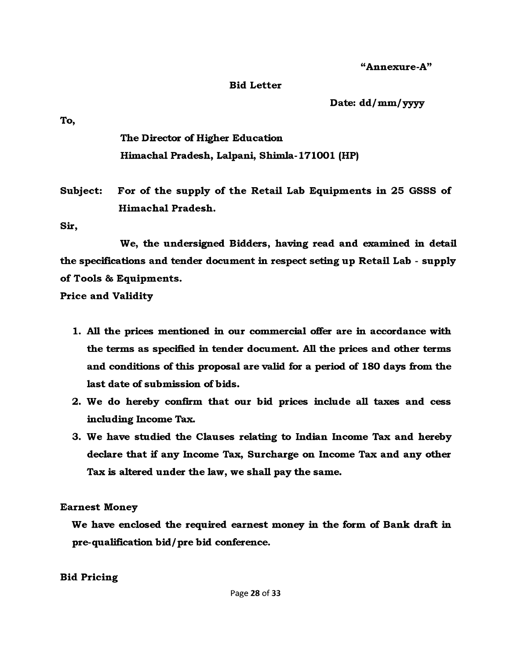**"Annexure-A"**

#### **Bid Letter**

**Date: dd/mm/yyyy**

**To,**

**The Director of Higher Education Himachal Pradesh, Lalpani, Shim la-171001 (HP)**

Subject: For of the supply of the Retail Lab Equipments in 25 GSSS of **Him achal Pradesh.**

**Sir,**

**We, the undersigned Bidders, having read and examined in detail the specifications and tender document in respect seting up Retail Lab - supply** of Tools & Equipments.

**Price and Validity**

- **1. All the prices mentioned in our commercial offer are in accordance with the terms as specified in tender document. All the prices and other terms and conditions of this proposal are valid for a period of 180 days from the last date of submission of bids.**
- **2. We do hereby confirm that our bid prices include all taxes and cess including Income Tax.**
- **3. We have studied the Clauses relating to Indian Income Tax and hereby declare that if any Income Tax, Surcharge on Income Tax and any other Tax is altered under the law, we shall pay the same.**

**Earnest Money**

**We have enclosed the required earnest money in the form of Bank draft in pre-qualification bid/pre bid conference.**

**Bid Pricing**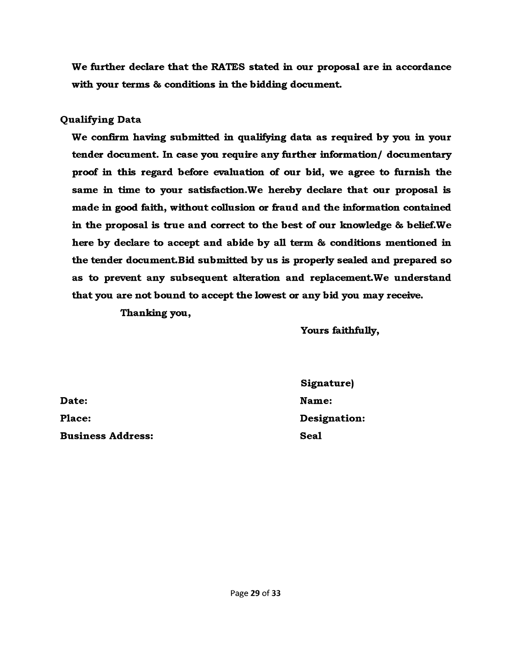**We further declare that the RATES stated in our proposal are in accordance with your terms & conditions in the bidding document.**

#### **Qualifying Data**

**We confirm having submitted in qualifying data as required by you in your tender document. In case you require any further information/ documentary proof in this regard before evaluation of our bid, we agree to furnish the same in time to your satisfaction.We hereby declare that our proposal is made in good faith, without collusion or fraud and the information contained in the proposal is true and correct to the best of our knowledge & belief.We here by declare to accept and abide by all term & conditions mentioned in the tender document.Bid submitted by us is properly sealed and prepared so as to prevent any subsequent alteration and replacement.We understand that you are not bound to accept the lowest or any bid you may receive.**

**Thanking you,**

**Yours faithfully,**

**Date: Place: Business Address:**

**Signature) Name: Designation: Seal**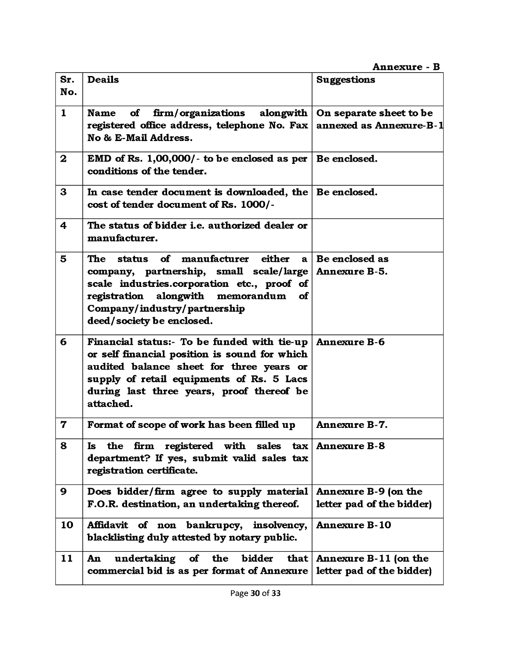## **Annexure - B**

| Sr.                     | <b>Deails</b>                                                                                                                                                                                                                                   | <b>Suggestions</b>                                 |
|-------------------------|-------------------------------------------------------------------------------------------------------------------------------------------------------------------------------------------------------------------------------------------------|----------------------------------------------------|
| No.                     |                                                                                                                                                                                                                                                 |                                                    |
| $\mathbf{1}$            | <b>firm/organizations</b><br>alongwith<br>of<br><b>Name</b><br>registered office address, telephone No. Fax                                                                                                                                     | On separate sheet to be<br>annexed as Annexure-B-1 |
|                         | No & E-Mail Address.                                                                                                                                                                                                                            |                                                    |
| $\bf{2}$                | EMD of Rs. $1,00,000/$ - to be enclosed as per   Be enclosed.<br>conditions of the tender.                                                                                                                                                      |                                                    |
| $\mathbf{3}$            | In case tender document is downloaded, the $\vert$ Be enclosed.<br>cost of tender document of Rs. 1000/-                                                                                                                                        |                                                    |
| $\overline{\mathbf{4}}$ | The status of bidder i.e. authorized dealer or<br>manufacturer.                                                                                                                                                                                 |                                                    |
| 5                       | manufacturer<br>either<br><b>The</b><br>of<br>status<br>$\mathbf{a}$                                                                                                                                                                            | Be enclosed as                                     |
|                         | company, partnership, small scale/large<br>scale industries.corporation etc., proof of<br>registration alongwith memorandum<br><b>of</b><br>Company/industry/partnership<br>deed/society be enclosed.                                           | <b>Annexure B-5.</b>                               |
| 6                       | Financial status:- To be funded with tie-up<br>or self financial position is sound for which<br>audited balance sheet for three years or<br>supply of retail equipments of Rs. 5 Lacs<br>during last three years, proof thereof be<br>attached. | <b>Annexure B-6</b>                                |
| $\mathbf 7$             | Format of scope of work has been filled up                                                                                                                                                                                                      | <b>Annexure B-7.</b>                               |
| 8                       | Is the firm registered with sales $\text{tax}$ Annexure B-8<br>department? If yes, submit valid sales tax<br>registration certificate.                                                                                                          |                                                    |
| 9                       | Does bidder/firm agree to supply material<br>F.O.R. destination, an undertaking thereof.                                                                                                                                                        | Annexure B-9 (on the<br>letter pad of the bidder)  |
| 10                      | Affidavit of non bankrupcy,<br>insolvency,<br>blacklisting duly attested by notary public.                                                                                                                                                      | <b>Annexure B-10</b>                               |
| 11                      | undertaking<br>the<br>bidder<br>that  <br>$\bullet$<br>An<br>commercial bid is as per format of Annexure                                                                                                                                        | Annexure B-11 (on the<br>letter pad of the bidder) |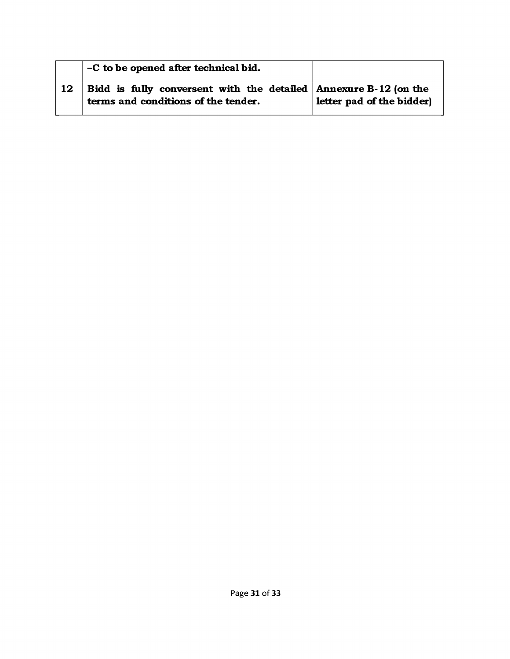|    | -C to be opened after technical bid.                                                                        |                           |
|----|-------------------------------------------------------------------------------------------------------------|---------------------------|
| 12 | Bidd is fully conversent with the detailed $ $ Annexure B-12 (on the<br>terms and conditions of the tender. | letter pad of the bidder) |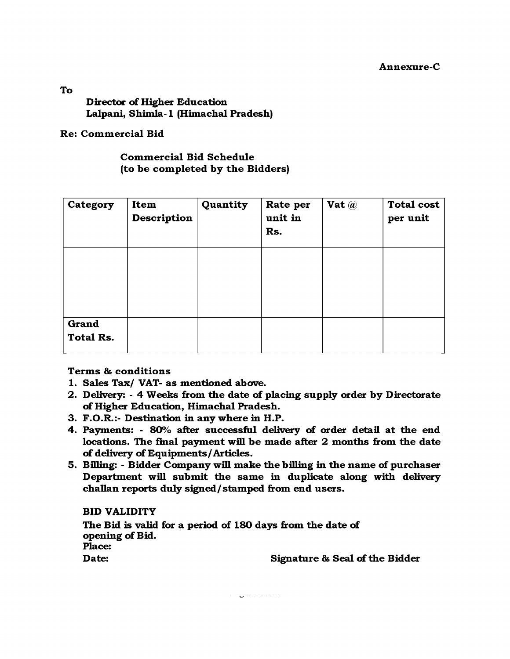**Annexure-C**

**Director of Higher Education** Lalpani, Shimla-1 (Himachal Pradesh)

**Re: Comm ercial Bid**

**Comm ercial Bid Schedule (to be completed by the Bidders)**

| Category                         | Item<br><b>Description</b> | Quantity | Rate per<br>unit in<br>Rs. | Vat $\omega$ | <b>Total cost</b><br>per unit |
|----------------------------------|----------------------------|----------|----------------------------|--------------|-------------------------------|
|                                  |                            |          |                            |              |                               |
| <b>Grand</b><br><b>Total Rs.</b> |                            |          |                            |              |                               |

**Term s & conditions**

- **1. Sales Tax/ VAT- as mentioned above.**
- **2. Delivery: 4 Weeks from the date of placing supply order by Directorate of Higher Education, Himachal Pradesh.**
- **3. F.O.R.:- Destination in any where in H.P.**
- **4. Payments: 80% after successful delivery of order detail at the end locations. The final payment will be made after 2 months from the date of delivery of Equipments/Articles.**
- **5. Billing: Bidder Company will make the billing in the name of purchaser Department will subm it the same in duplicate along with delivery challan reports duly signed/stamped from end users.**

**BID VALIDITY**

**The Bid is valid for a period of 180 days from the date of opening of Bid. Place: Date: Signature & Seal of the Bidder**

 $\cdot$  -  $\bullet$  -  $\bullet$  -  $\bullet$  -  $\bullet$ 

**To**